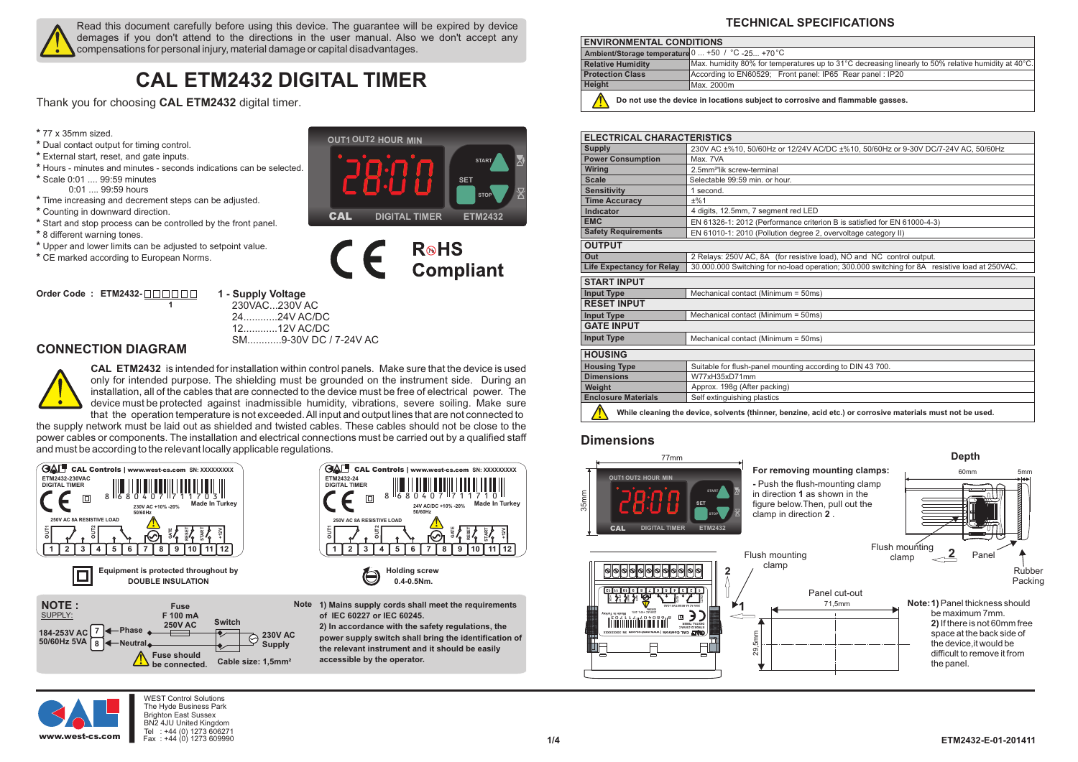

Read this document carefully before using this device. The guarantee will be expired by device demages if you don't attend to the directions in the user manual. Also we don't accept any compensations for personal injury, material damage or capital disadvantages.

# **CAL ETM2432 DIGITAL TIMER**

Thank you for choosing **CAL ETM2432** digital timer.

- **\*** 77 x 35mm sized.
- **\*** Dual contact output for timing control.
- **\*** External start, reset, and gate inputs.
- **\*** Hours minutes and minutes seconds indications can be selected.
- **\*** Scale 0:01 .... 99:59 minutes 0:01 .... 99:59 hours
- **\*** Time increasing and decrement steps can be adjusted.
- **\*** Counting in downward direction.
- **\*** Start and stop process can be controlled by the front panel.
- **\*** 8 different warning tones.
- **\*** Upper and lower limits can be adjusted to setpoint value.

**1**

**\*** CE marked according to European Norms.

**Order Code : ETM2432-**

**1 - Supply Voltage** 230VAC...230V AC

24............24V AC/DC 12............12V AC/DC

SM............9-30V DC / 7-24V AC

**CONNECTION DIAGRAM**

**CAL ETM2432** is intended for installation within control panels. Make sure that the device is used only for intended purpose. The shielding must be grounded on the instrument side. During an installation, all of the cables that are connected to the device must be free of electrical power. The device must be protected against inadmissible humidity, vibrations, severe soiling. Make sure that the operation temperature is not exceeded. All input and output lines that are not connected to

the supply network must be laid out as shielded and twisted cables. These cables should not be close to the power cables or components. The installation and electrical connections must be carried out by a qualified staff and must be according to the relevant locally applicable regulations.





<u>SET</u>

**START**

**STOP**

**CAL ETM232 CAL ETM2432 DIGITAL TIMER**

**R**<sup>®</sup>HS

**Compliant** 

**OUT1 H M OUT1OUT2 HOUR MIN**

CE

**1) Mains supply cords shall meet the requirements Note of IEC 60227 or IEC 60245. 2) In accordance with the safety regulations, the power supply switch shall bring the identification of the relevant instrument and it should be easily accessible by the operator.**

# **TECHNICAL SPECIFICATIONS**

| <b>ENVIRONMENTAL CONDITIONS</b>                                               |                                                                                                     |  |  |  |
|-------------------------------------------------------------------------------|-----------------------------------------------------------------------------------------------------|--|--|--|
| Ambient/Storage temperature 0  +50 / °C -25 +70 °C                            |                                                                                                     |  |  |  |
| <b>Relative Humidity</b>                                                      | Max. humidity 80% for temperatures up to 31°C decreasing linearly to 50% relative humidity at 40°C. |  |  |  |
| <b>Protection Class</b>                                                       | According to EN60529; Front panel: IP65 Rear panel : IP20                                           |  |  |  |
| Height                                                                        | Max. 2000m                                                                                          |  |  |  |
| Do not use the device in locations subject to corrosive and flammable gasses. |                                                                                                     |  |  |  |

| <b>ELECTRICAL CHARACTERISTICS</b>                                                                          |                                                                                                                                                                        |  |  |  |  |  |
|------------------------------------------------------------------------------------------------------------|------------------------------------------------------------------------------------------------------------------------------------------------------------------------|--|--|--|--|--|
| <b>Supply</b>                                                                                              | 230V AC ±%10, 50/60Hz or 12/24V AC/DC ±%10, 50/60Hz or 9-30V DC/7-24V AC, 50/60Hz                                                                                      |  |  |  |  |  |
| <b>Power Consumption</b>                                                                                   | Max. 7VA                                                                                                                                                               |  |  |  |  |  |
| <b>Wiring</b>                                                                                              | 2.5mm <sup>2</sup> 'lik screw-terminal                                                                                                                                 |  |  |  |  |  |
| <b>Scale</b>                                                                                               | Selectable 99:59 min. or hour.                                                                                                                                         |  |  |  |  |  |
| <b>Sensitivity</b>                                                                                         | 1 second.                                                                                                                                                              |  |  |  |  |  |
| <b>Time Accuracy</b>                                                                                       | ±%1                                                                                                                                                                    |  |  |  |  |  |
| Indicator                                                                                                  | 4 digits, 12.5mm, 7 segment red LED                                                                                                                                    |  |  |  |  |  |
| <b>EMC</b>                                                                                                 | EN 61326-1: 2012 (Performance criterion B is satisfied for EN 61000-4-3)                                                                                               |  |  |  |  |  |
| <b>Safety Requirements</b>                                                                                 | EN 61010-1: 2010 (Pollution degree 2, overvoltage category II)                                                                                                         |  |  |  |  |  |
| <b>OUTPUT</b>                                                                                              |                                                                                                                                                                        |  |  |  |  |  |
| Out                                                                                                        | 2 Relays: 250V AC, 8A (for resistive load), NO and NC control output.                                                                                                  |  |  |  |  |  |
| <b>Life Expectancy for Relay</b>                                                                           | 30.000.000 Switching for no-load operation; 300.000 switching for 8A resistive load at 250VAC.                                                                         |  |  |  |  |  |
| <b>START INPUT</b>                                                                                         |                                                                                                                                                                        |  |  |  |  |  |
| <b>Input Type</b>                                                                                          | Mechanical contact (Minimum = 50ms)                                                                                                                                    |  |  |  |  |  |
| <b>RESET INPUT</b>                                                                                         |                                                                                                                                                                        |  |  |  |  |  |
| <b>Input Type</b>                                                                                          | Mechanical contact (Minimum = 50ms)                                                                                                                                    |  |  |  |  |  |
| <b>GATE INPUT</b>                                                                                          |                                                                                                                                                                        |  |  |  |  |  |
| <b>Input Type</b>                                                                                          | Mechanical contact (Minimum = 50ms)                                                                                                                                    |  |  |  |  |  |
| <b>HOUSING</b>                                                                                             |                                                                                                                                                                        |  |  |  |  |  |
| <b>Housing Type</b>                                                                                        | Suitable for flush-panel mounting according to DIN 43 700.                                                                                                             |  |  |  |  |  |
| <b>Dimensions</b>                                                                                          | W77xH35xD71mm                                                                                                                                                          |  |  |  |  |  |
| Weight                                                                                                     | Approx. 198g (After packing)                                                                                                                                           |  |  |  |  |  |
| <b>Enclosure Materials</b>                                                                                 | Self extinguishing plastics                                                                                                                                            |  |  |  |  |  |
| While cleaning the device, solvents (thinner, benzine, acid etc.) or corrosive materials must not be used. |                                                                                                                                                                        |  |  |  |  |  |
| <b>Dimensions</b>                                                                                          |                                                                                                                                                                        |  |  |  |  |  |
| 77 <sub>mm</sub>                                                                                           | Depth                                                                                                                                                                  |  |  |  |  |  |
| For removing mounting clamps:<br>60mm                                                                      |                                                                                                                                                                        |  |  |  |  |  |
| OUT1 OUT2 HOUR MIN<br>35mm                                                                                 | 5mm<br>- Push the flush-mounting clamp<br><b>THE REAL PROPERTY</b><br><b>START</b><br>in direction 1 as shown in the<br>figure below. Then, pull out the<br><b>SET</b> |  |  |  |  |  |

### **Dimensions**



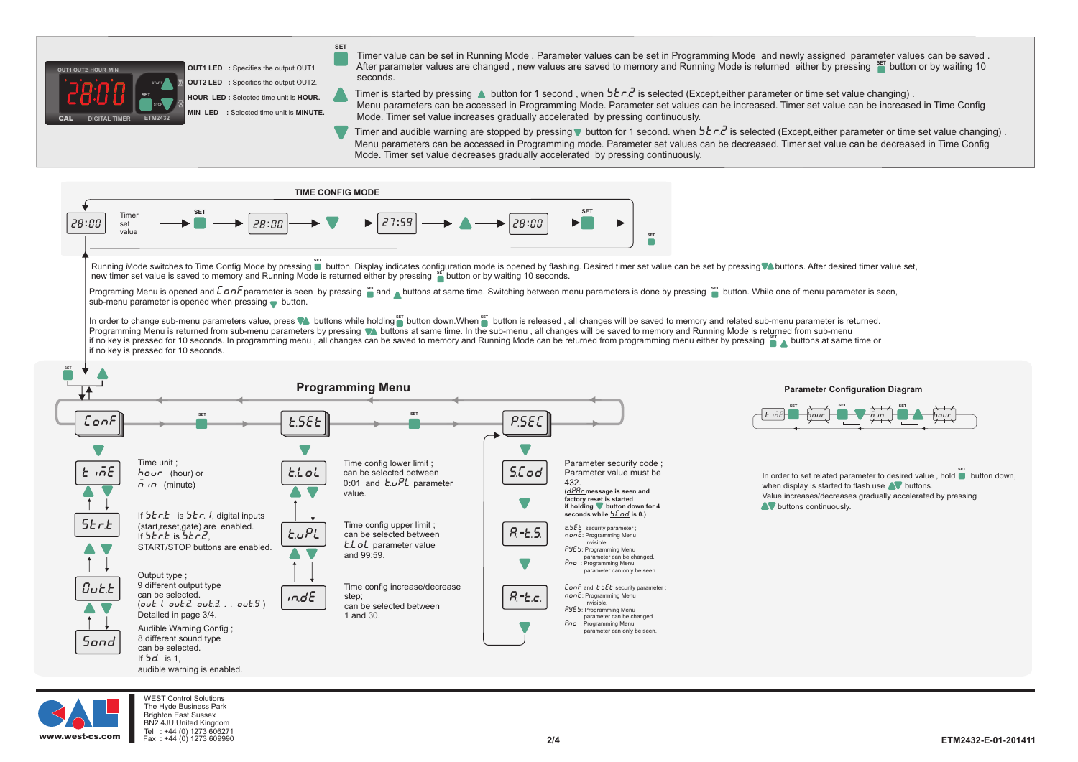

**HOUR LED :** Selected time unit is **HOUR. OUT1 LED**: Specifies the output OUT1. **OUT2 LED :** Specifies the output OUT2. **MIN LED :** Selected time unit is **MINUTE.**

**SET**

Timer value can be set in Running Mode , Parameter values can be set in Programming Mode and newly assigned parameter values can be saved . After parameter values are changed , new values are saved to memory and Running Mode is returned either by pressing <sup>ser</sup> button or by waiting 10 seconds.

Timer is started by pressing **∆** button for 1 second , when **ɔˈɛ***r.z***'** is selected (Except,either parameter or time set value changing) .

Menu parameters can be accessed in Programming Mode. Parameter set values can be increased. Timer set value can be increased in Time Config Mode. Timer set value increases gradually accelerated by pressing continuously.

Timer and audible warning are stopped by pressing **button for 1** second. when  $5 \epsilon \cdot c^2$  is selected (Except, either parameter or time set value changing). Menu parameters can be accessed in Programming mode. Parameter set values can be decreased. Timer set value can be decreased in Time Config Mode. Timer set value decreases gradually accelerated by pressing continuously.



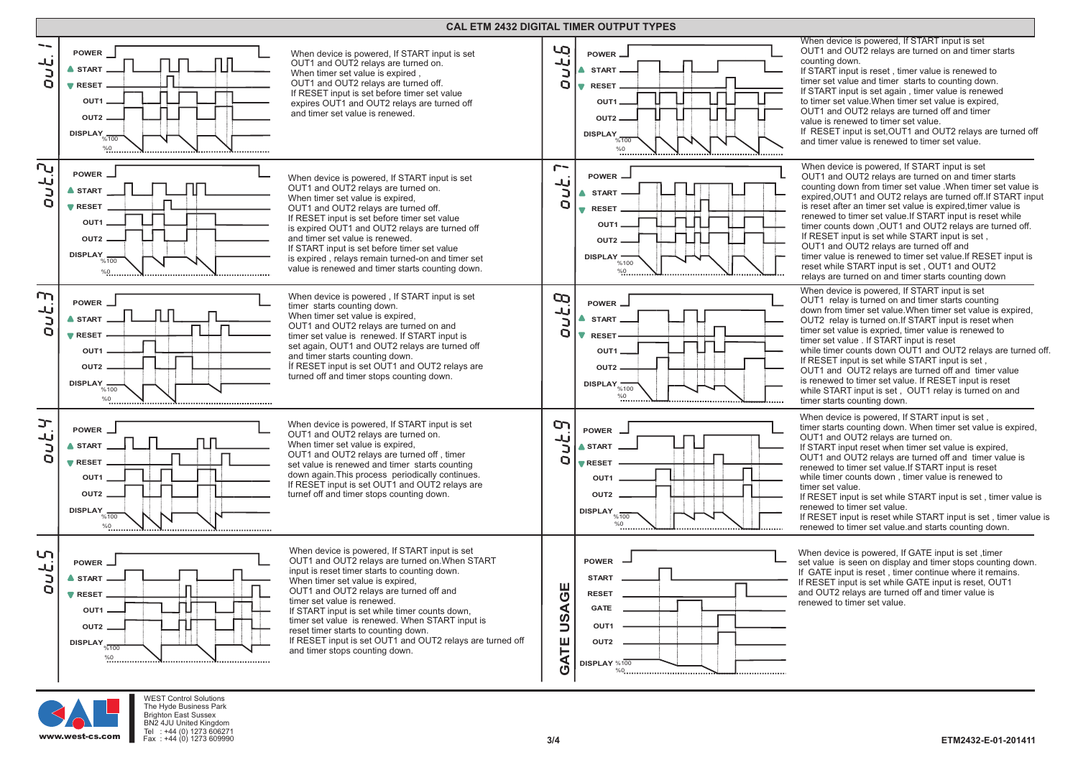#### **CAL ETM 2432 DIGITAL TIMER OUTPUT TYPES**





WEST Control Solutions The Hyde Business Park Brighton East Sussex BN2 4JU United Kingdom<br>Tel : +44 (0) 1273 60627  $: +44 (0) 1273 606271$